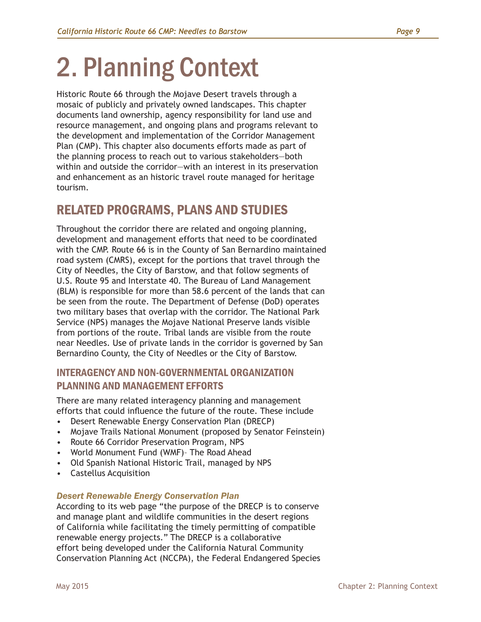# 2. Planning Context

Historic Route 66 through the Mojave Desert travels through a mosaic of publicly and privately owned landscapes. This chapter documents land ownership, agency responsibility for land use and resource management, and ongoing plans and programs relevant to the development and implementation of the Corridor Management Plan (CMP). This chapter also documents efforts made as part of the planning process to reach out to various stakeholders—both within and outside the corridor—with an interest in its preservation and enhancement as an historic travel route managed for heritage tourism.

# RELATED PROGRAMS, PLANS AND STUDIES

Throughout the corridor there are related and ongoing planning, development and management efforts that need to be coordinated with the CMP. Route 66 is in the County of San Bernardino maintained road system (CMRS), except for the portions that travel through the City of Needles, the City of Barstow, and that follow segments of U.S. Route 95 and Interstate 40. The Bureau of Land Management (BLM) is responsible for more than 58.6 percent of the lands that can be seen from the route. The Department of Defense (DoD) operates two military bases that overlap with the corridor. The National Park Service (NPS) manages the Mojave National Preserve lands visible from portions of the route. Tribal lands are visible from the route near Needles. Use of private lands in the corridor is governed by San Bernardino County, the City of Needles or the City of Barstow.

# INTERAGENCY AND NON-GOVERNMENTAL ORGANIZATION PLANNING AND MANAGEMENT EFFORTS

There are many related interagency planning and management efforts that could influence the future of the route. These include

- Desert Renewable Energy Conservation Plan (DRECP)
- Mojave Trails National Monument (proposed by Senator Feinstein)
- Route 66 Corridor Preservation Program, NPS
- World Monument Fund (WMF)– The Road Ahead
- Old Spanish National Historic Trail, managed by NPS
- Castellus Acquisition

# *Desert Renewable Energy Conservation Plan*

According to its web page "the purpose of the DRECP is to conserve and manage plant and wildlife communities in the desert regions of California while facilitating the timely permitting of compatible renewable energy projects." The DRECP is a collaborative effort being developed under the California Natural Community Conservation Planning Act (NCCPA), the Federal Endangered Species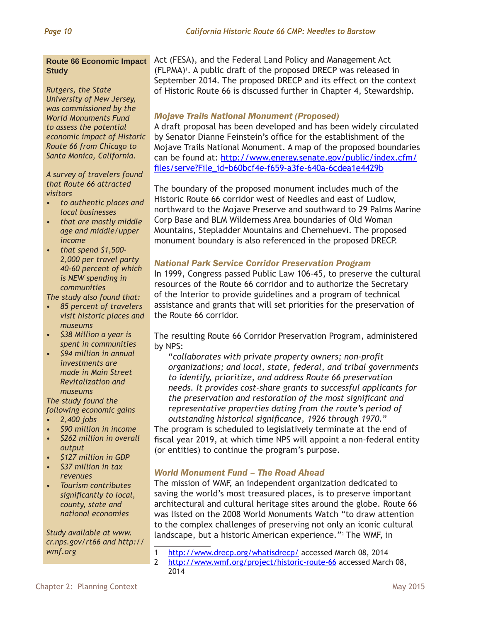#### **Route 66 Economic Impact Study**

*Rutgers, the State University of New Jersey, was commissioned by the World Monuments Fund to assess the potential economic impact of Historic Route 66 from Chicago to Santa Monica, California.* 

*A survey of travelers found that Route 66 attracted visitors*

- *• to authentic places and local businesses*
- *• that are mostly middle age and middle/upper income*
- *• that spend \$1,500- 2,000 per travel party 40-60 percent of which is NEW spending in communities*

*The study also found that:*

- *• 85 percent of travelers visit historic places and museums*
- *• \$38 Million a year is spent in communities*
- *• \$94 million in annual investments are made in Main Street Revitalization and museums*

*The study found the following economic gains*

- *• 2,400 jobs*
- *• \$90 million in income*
- *• \$262 million in overall output*
- *• \$127 million in GDP*
- *• \$37 million in tax revenues*
- *• Tourism contributes significantly to local, county, state and national economies*

*Study available at www. cr.nps.gov/rt66 and http:// wmf.org*

Act (FESA), and the Federal Land Policy and Management Act (FLPMA)<sup>1</sup>. A public draft of the proposed DRECP was released in September 2014. The proposed DRECP and its effect on the context of Historic Route 66 is discussed further in Chapter 4, Stewardship.

# *Mojave Trails National Monument (Proposed)*

A draft proposal has been developed and has been widely circulated by Senator Dianne Feinstein's office for the establishment of the Mojave Trails National Monument. A map of the proposed boundaries can be found at: [http://www.energy.senate.gov/public/index.cfm/](http://www.energy.senate.gov/public/index.cfm/files/serve?File_id=b60bcf4e-f659-a3fe-640a-6cdea1e4429b) [files/serve?File\\_id=b60bcf4e-f659-a3fe-640a-6cdea1e4429b](http://www.energy.senate.gov/public/index.cfm/files/serve?File_id=b60bcf4e-f659-a3fe-640a-6cdea1e4429b)

The boundary of the proposed monument includes much of the Historic Route 66 corridor west of Needles and east of Ludlow, northward to the Mojave Preserve and southward to 29 Palms Marine Corp Base and BLM Wilderness Area boundaries of Old Woman Mountains, Stepladder Mountains and Chemehuevi. The proposed monument boundary is also referenced in the proposed DRECP.

# *National Park Service Corridor Preservation Program*

In 1999, Congress passed Public Law 106-45, to preserve the cultural resources of the Route 66 corridor and to authorize the Secretary of the Interior to provide guidelines and a program of technical assistance and grants that will set priorities for the preservation of the Route 66 corridor.

The resulting Route 66 Corridor Preservation Program, administered by NPS:

"*collaborates with private property owners; non-profit organizations; and local, state, federal, and tribal governments to identify, prioritize, and address Route 66 preservation needs. It provides cost-share grants to successful applicants for the preservation and restoration of the most significant and representative properties dating from the route's period of outstanding historical significance, 1926 through 1970.*"

The program is scheduled to legislatively terminate at the end of fiscal year 2019, at which time NPS will appoint a non-federal entity (or entities) to continue the program's purpose.

# *World Monument Fund – The Road Ahead*

The mission of WMF, an independent organization dedicated to saving the world's most treasured places, is to preserve important architectural and cultural heritage sites around the globe. Route 66 was listed on the 2008 World Monuments Watch "to draw attention to the complex challenges of preserving not only an iconic cultural landscape, but a historic American experience."<sup>2</sup> The WMF, in

- 1 <http://www.drecp.org/whatisdrecp/>accessed March 08, 2014
- 2 <http://www.wmf.org/project/historic-route-66> accessed March 08, 2014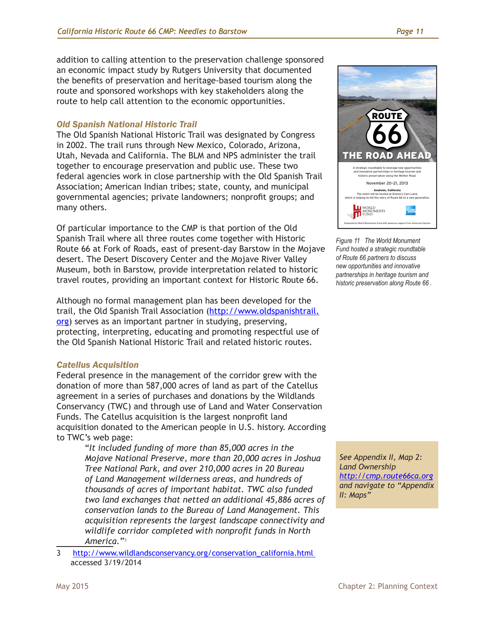addition to calling attention to the preservation challenge sponsored an economic impact study by Rutgers University that documented the benefits of preservation and heritage-based tourism along the route and sponsored workshops with key stakeholders along the route to help call attention to the economic opportunities.

# *Old Spanish National Historic Trail*

The Old Spanish National Historic Trail was designated by Congress in 2002. The trail runs through New Mexico, Colorado, Arizona, Utah, Nevada and California. The BLM and NPS administer the trail together to encourage preservation and public use. These two federal agencies work in close partnership with the Old Spanish Trail Association; American Indian tribes; state, county, and municipal governmental agencies; private landowners; nonprofit groups; and many others.

Of particular importance to the CMP is that portion of the Old Spanish Trail where all three routes come together with Historic Route 66 at Fork of Roads, east of present-day Barstow in the Mojave desert. The Desert Discovery Center and the Mojave River Valley Museum, both in Barstow, provide interpretation related to historic travel routes, providing an important context for Historic Route 66.

Although no formal management plan has been developed for the trail, the Old Spanish Trail Association ([http://www.oldspanishtrail.](http://www.oldspanishtrail.org) [org\)](http://www.oldspanishtrail.org) serves as an important partner in studying, preserving, protecting, interpreting, educating and promoting respectful use of the Old Spanish National Historic Trail and related historic routes.

## *Catellus Acquisition*

Federal presence in the management of the corridor grew with the donation of more than 587,000 acres of land as part of the Catellus agreement in a series of purchases and donations by the Wildlands Conservancy (TWC) and through use of Land and Water Conservation Funds. The Catellus acquisition is the largest nonprofit land acquisition donated to the American people in U.S. history. According to TWC's web page:

"*It included funding of more than 85,000 acres in the Mojave National Preserve, more than 20,000 acres in Joshua Tree National Park, and over 210,000 acres in 20 Bureau of Land Management wilderness areas, and hundreds of thousands of acres of important habitat. TWC also funded two land exchanges that netted an additional 45,886 acres of conservation lands to the Bureau of Land Management. This acquisition represents the largest landscape connectivity and wildlife corridor completed with nonprofit funds in North America.*"<sup>3</sup>

3 [http://www.wildlandsconservancy.org/conservation\\_california.html](http://www.wildlandsconservancy.org/conservation_california.html)  accessed 3/19/2014



Figure 11 The World Monument **AT T E N D E E C O N TA C T S** *Fund hosted a strategic roundtable*  **Ackerman, Lisa** *Executive Vice President and Chief*  **Hildreth, John** *Director, Southern Regional Office of Route 66 partners to discuss*  new opportunities and innovative partnerships in heritage tourism and **Avrami, Erica** *Research and Education Director* World Monuments Fund *.*<br>historic preservation along Route 66 .

*See Appendix II, Map 2: Land Ownership [http://cmp.route66ca.org](http://cmp.route66ca.org ) and navigate to "Appendix II: Maps"*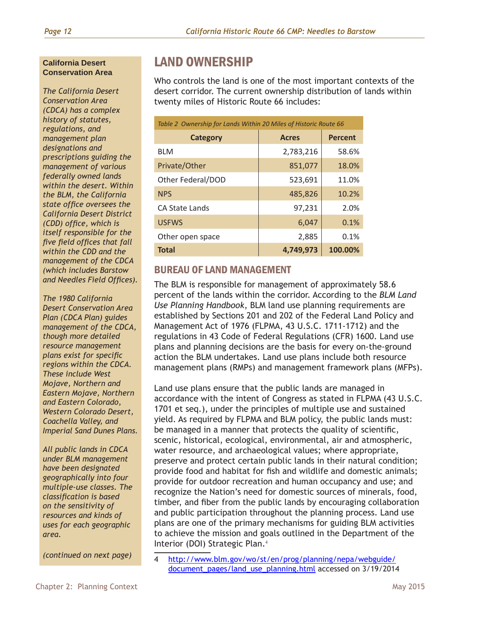#### **California Desert Conservation Area**

*The California Desert Conservation Area (CDCA) has a complex history of statutes, regulations, and management plan designations and prescriptions guiding the management of various federally owned lands within the desert. Within the BLM, the California state office oversees the California Desert District (CDD) office, which is itself responsible for the five field offices that fall within the CDD and the management of the CDCA (which includes Barstow and Needles Field Offices).*

*The 1980 California Desert Conservation Area Plan (CDCA Plan) guides management of the CDCA, though more detailed resource management plans exist for specific regions within the CDCA. These include West Mojave, Northern and Eastern Mojave, Northern and Eastern Colorado, Western Colorado Desert, Coachella Valley, and Imperial Sand Dunes Plans.*

*All public lands in CDCA under BLM management have been designated geographically into four multiple-use classes. The classification is based on the sensitivity of resources and kinds of uses for each geographic area.*

*(continued on next page)*

# LAND OWNERSHIP

Who controls the land is one of the most important contexts of the desert corridor. The current ownership distribution of lands within twenty miles of Historic Route 66 includes:

| Table 2 Ownership for Lands Within 20 Miles of Historic Route 66 |              |                |  |
|------------------------------------------------------------------|--------------|----------------|--|
| Category                                                         | <b>Acres</b> | <b>Percent</b> |  |
| <b>BLM</b>                                                       | 2,783,216    | 58.6%          |  |
| Private/Other                                                    | 851,077      | 18.0%          |  |
| Other Federal/DOD                                                | 523,691      | 11.0%          |  |
| <b>NPS</b>                                                       | 485,826      | 10.2%          |  |
| <b>CA State Lands</b>                                            | 97,231       | 2.0%           |  |
| <b>USFWS</b>                                                     | 6,047        | 0.1%           |  |
| Other open space                                                 | 2,885        | 0.1%           |  |
| <b>Total</b>                                                     | 4.749.973    | 100.00%        |  |

# BUREAU OF LAND MANAGEMENT

The BLM is responsible for management of approximately 58.6 percent of the lands within the corridor. According to the *BLM Land Use Planning Handbook*, BLM land use planning requirements are established by Sections 201 and 202 of the Federal Land Policy and Management Act of 1976 (FLPMA, 43 U.S.C. 1711-1712) and the regulations in 43 Code of Federal Regulations (CFR) 1600. Land use plans and planning decisions are the basis for every on-the-ground action the BLM undertakes. Land use plans include both resource management plans (RMPs) and management framework plans (MFPs).

Land use plans ensure that the public lands are managed in accordance with the intent of Congress as stated in FLPMA (43 U.S.C. 1701 et seq.), under the principles of multiple use and sustained yield. As required by FLPMA and BLM policy, the public lands must: be managed in a manner that protects the quality of scientific, scenic, historical, ecological, environmental, air and atmospheric, water resource, and archaeological values; where appropriate, preserve and protect certain public lands in their natural condition; provide food and habitat for fish and wildlife and domestic animals; provide for outdoor recreation and human occupancy and use; and recognize the Nation's need for domestic sources of minerals, food, timber, and fiber from the public lands by encouraging collaboration and public participation throughout the planning process. Land use plans are one of the primary mechanisms for guiding BLM activities to achieve the mission and goals outlined in the Department of the Interior (DOI) Strategic Plan.<sup>4</sup>

4 [http://www.blm.gov/wo/st/en/prog/planning/nepa/webguide/](http://www.blm.gov/wo/st/en/prog/planning/nepa/webguide/document_pages/land_use_planning.html) [document\\_pages/land\\_use\\_planning.html](http://www.blm.gov/wo/st/en/prog/planning/nepa/webguide/document_pages/land_use_planning.html) accessed on 3/19/2014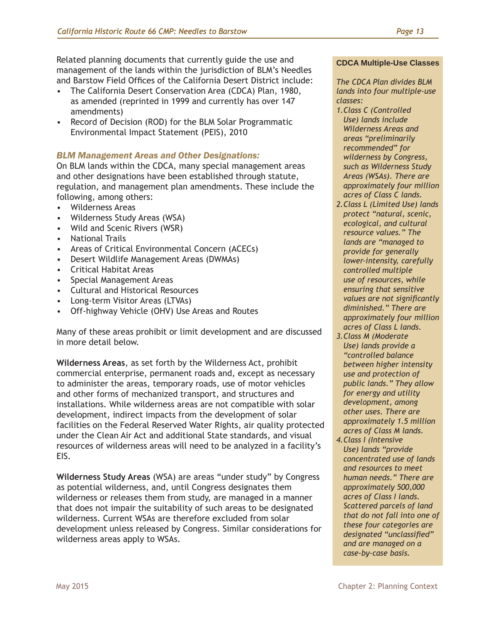Related planning documents that currently guide the use and management of the lands within the jurisdiction of BLM's Needles and Barstow Field Offices of the California Desert District include:

- The California Desert Conservation Area (CDCA) Plan, 1980, as amended (reprinted in 1999 and currently has over 147 amendments)
- Record of Decision (ROD) for the BLM Solar Programmatic Environmental Impact Statement (PEIS), 2010

# *BLM Management Areas and Other Designations:*

On BLM lands within the CDCA, many special management areas and other designations have been established through statute, regulation, and management plan amendments. These include the following, among others:

- Wilderness Areas
- Wilderness Study Areas (WSA)
- Wild and Scenic Rivers (WSR)
- National Trails
- Areas of Critical Environmental Concern (ACECs)
- Desert Wildlife Management Areas (DWMAs)
- Critical Habitat Areas
- Special Management Areas
- Cultural and Historical Resources
- Long-term Visitor Areas (LTVAs)
- Off-highway Vehicle (OHV) Use Areas and Routes

Many of these areas prohibit or limit development and are discussed in more detail below.

**Wilderness Areas**, as set forth by the Wilderness Act, prohibit commercial enterprise, permanent roads and, except as necessary to administer the areas, temporary roads, use of motor vehicles and other forms of mechanized transport, and structures and installations. While wilderness areas are not compatible with solar development, indirect impacts from the development of solar facilities on the Federal Reserved Water Rights, air quality protected under the Clean Air Act and additional State standards, and visual resources of wilderness areas will need to be analyzed in a facility's EIS.

**Wilderness Study Areas** (WSA) are areas "under study" by Congress as potential wilderness, and, until Congress designates them wilderness or releases them from study, are managed in a manner that does not impair the suitability of such areas to be designated wilderness. Current WSAs are therefore excluded from solar development unless released by Congress. Similar considerations for wilderness areas apply to WSAs.

#### **CDCA Multiple-Use Classes**

*The CDCA Plan divides BLM lands into four multiple-use classes:* 

- *1.Class C (Controlled Use) lands include Wilderness Areas and areas "preliminarily recommended" for wilderness by Congress, such as Wilderness Study Areas (WSAs). There are approximately four million acres of Class C lands.*
- *2.Class L (Limited Use) lands protect "natural, scenic, ecological, and cultural resource values." The lands are "managed to provide for generally lower-intensity, carefully controlled multiple use of resources, while ensuring that sensitive values are not significantly diminished." There are approximately four million acres of Class L lands.*
- *3.Class M (Moderate Use) lands provide a "controlled balance between higher intensity use and protection of public lands." They allow for energy and utility development, among other uses. There are approximately 1.5 million acres of Class M lands.*
- *4.Class I (Intensive Use) lands "provide concentrated use of lands and resources to meet human needs." There are approximately 500,000 acres of Class I lands. Scattered parcels of land that do not fall into one of these four categories are designated "unclassified" and are managed on a case-by-case basis.*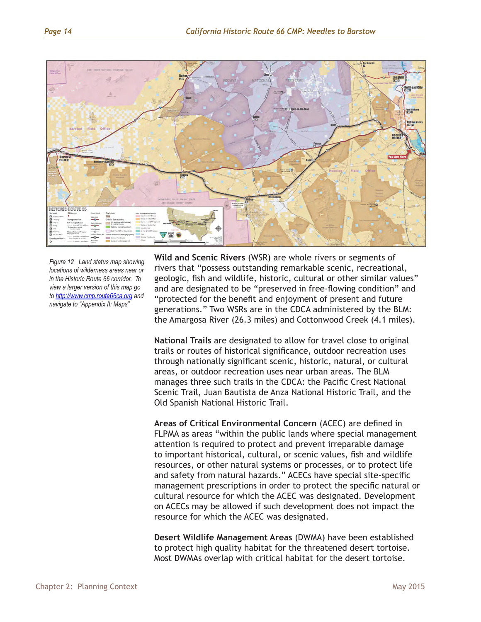

*Figure 12 Land status map showing locations of wilderness areas near or in the Historic Route 66 corridor. To view a larger version of this map go to <http://www.cmp.route66ca.org>and navigate to "Appendix II: Maps"*

**Wild and Scenic Rivers** (WSR) are whole rivers or segments of rivers that "possess outstanding remarkable scenic, recreational, geologic, fish and wildlife, historic, cultural or other similar values" and are designated to be "preserved in free-flowing condition" and "protected for the benefit and enjoyment of present and future generations." Two WSRs are in the CDCA administered by the BLM: the Amargosa River (26.3 miles) and Cottonwood Creek (4.1 miles).

**National Trails** are designated to allow for travel close to original trails or routes of historical significance, outdoor recreation uses through nationally significant scenic, historic, natural, or cultural areas, or outdoor recreation uses near urban areas. The BLM manages three such trails in the CDCA: the Pacific Crest National Scenic Trail, Juan Bautista de Anza National Historic Trail, and the Old Spanish National Historic Trail.

**Areas of Critical Environmental Concern** (ACEC) are defined in FLPMA as areas "within the public lands where special management attention is required to protect and prevent irreparable damage to important historical, cultural, or scenic values, fish and wildlife resources, or other natural systems or processes, or to protect life and safety from natural hazards." ACECs have special site-specific management prescriptions in order to protect the specific natural or cultural resource for which the ACEC was designated. Development on ACECs may be allowed if such development does not impact the resource for which the ACEC was designated.

**Desert Wildlife Management Areas** (DWMA) have been established to protect high quality habitat for the threatened desert tortoise. Most DWMAs overlap with critical habitat for the desert tortoise.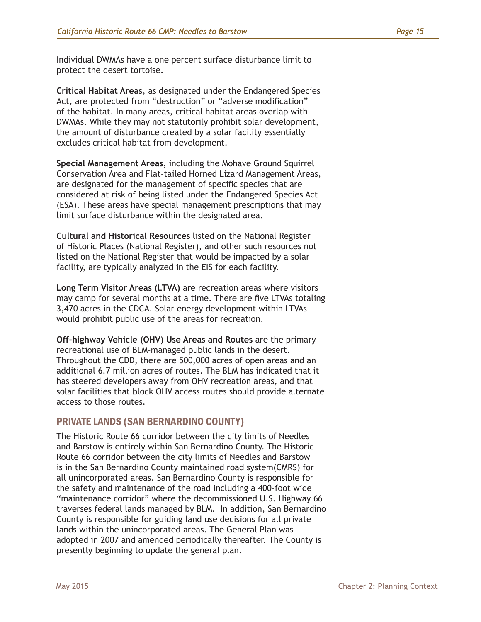Individual DWMAs have a one percent surface disturbance limit to protect the desert tortoise.

**Critical Habitat Areas**, as designated under the Endangered Species Act, are protected from "destruction" or "adverse modification" of the habitat. In many areas, critical habitat areas overlap with DWMAs. While they may not statutorily prohibit solar development, the amount of disturbance created by a solar facility essentially excludes critical habitat from development.

**Special Management Areas**, including the Mohave Ground Squirrel Conservation Area and Flat-tailed Horned Lizard Management Areas, are designated for the management of specific species that are considered at risk of being listed under the Endangered Species Act (ESA). These areas have special management prescriptions that may limit surface disturbance within the designated area.

**Cultural and Historical Resources** listed on the National Register of Historic Places (National Register), and other such resources not listed on the National Register that would be impacted by a solar facility, are typically analyzed in the EIS for each facility.

**Long Term Visitor Areas (LTVA)** are recreation areas where visitors may camp for several months at a time. There are five LTVAs totaling 3,470 acres in the CDCA. Solar energy development within LTVAs would prohibit public use of the areas for recreation.

**Off-highway Vehicle (OHV) Use Areas and Routes** are the primary recreational use of BLM-managed public lands in the desert. Throughout the CDD, there are 500,000 acres of open areas and an additional 6.7 million acres of routes. The BLM has indicated that it has steered developers away from OHV recreation areas, and that solar facilities that block OHV access routes should provide alternate access to those routes.

# PRIVATE LANDS (SAN BERNARDINO COUNTY)

The Historic Route 66 corridor between the city limits of Needles and Barstow is entirely within San Bernardino County. The Historic Route 66 corridor between the city limits of Needles and Barstow is in the San Bernardino County maintained road system(CMRS) for all unincorporated areas. San Bernardino County is responsible for the safety and maintenance of the road including a 400-foot wide "maintenance corridor" where the decommissioned U.S. Highway 66 traverses federal lands managed by BLM. In addition, San Bernardino County is responsible for guiding land use decisions for all private lands within the unincorporated areas. The General Plan was adopted in 2007 and amended periodically thereafter. The County is presently beginning to update the general plan.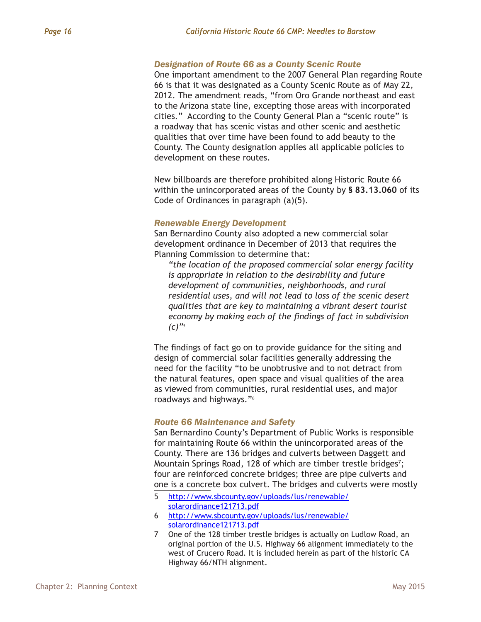#### *Designation of Route 66 as a County Scenic Route*

One important amendment to the 2007 General Plan regarding Route 66 is that it was designated as a County Scenic Route as of May 22, 2012. The amendment reads, "from Oro Grande northeast and east to the Arizona state line, excepting those areas with incorporated cities." According to the County General Plan a "scenic route" is a roadway that has scenic vistas and other scenic and aesthetic qualities that over time have been found to add beauty to the County. The County designation applies all applicable policies to development on these routes.

New billboards are therefore prohibited along Historic Route 66 within the unincorporated areas of the County by **§ 83.13.060** of its Code of Ordinances in paragraph (a)(5).

#### *Renewable Energy Development*

San Bernardino County also adopted a new commercial solar development ordinance in December of 2013 that requires the Planning Commission to determine that:

*"the location of the proposed commercial solar energy facility is appropriate in relation to the desirability and future development of communities, neighborhoods, and rural residential uses, and will not lead to loss of the scenic desert qualities that are key to maintaining a vibrant desert tourist economy by making each of the findings of fact in subdivision (c)"*<sup>5</sup>

The findings of fact go on to provide guidance for the siting and design of commercial solar facilities generally addressing the need for the facility "to be unobtrusive and to not detract from the natural features, open space and visual qualities of the area as viewed from communities, rural residential uses, and major roadways and highways."<sup>6</sup>

#### *Route 66 Maintenance and Safety*

San Bernardino County's Department of Public Works is responsible for maintaining Route 66 within the unincorporated areas of the County. There are 136 bridges and culverts between Daggett and Mountain Springs Road, 128 of which are timber trestle bridges<sup>7</sup>; four are reinforced concrete bridges; three are pipe culverts and one is a concrete box culvert. The bridges and culverts were mostly

- 5 [http://www.sbcounty.gov/uploads/lus/renewable/](http://www.sbcounty.gov/uploads/lus/renewable/solarordinance121713.pdf) [solarordinance121713.pdf](http://www.sbcounty.gov/uploads/lus/renewable/solarordinance121713.pdf)
- 6 [http://www.sbcounty.gov/uploads/lus/renewable/](http://www.sbcounty.gov/uploads/lus/renewable/solarordinance121713.pdf) [solarordinance121713.pdf](http://www.sbcounty.gov/uploads/lus/renewable/solarordinance121713.pdf)
- 7 One of the 128 timber trestle bridges is actually on Ludlow Road, an original portion of the U.S. Highway 66 alignment immediately to the west of Crucero Road. It is included herein as part of the historic CA Highway 66/NTH alignment.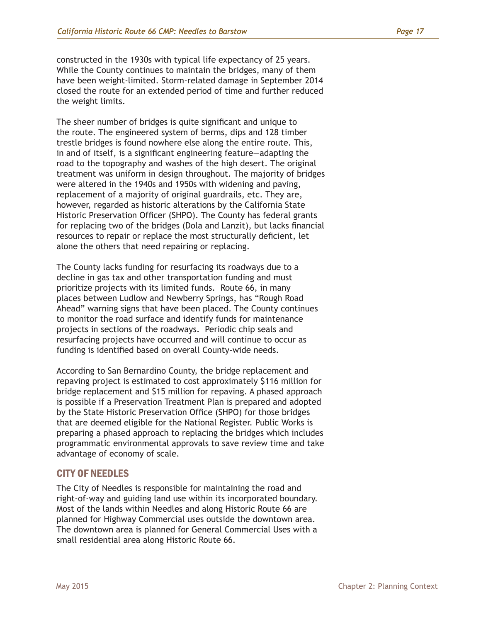constructed in the 1930s with typical life expectancy of 25 years. While the County continues to maintain the bridges, many of them have been weight-limited. Storm-related damage in September 2014 closed the route for an extended period of time and further reduced the weight limits.

The sheer number of bridges is quite significant and unique to the route. The engineered system of berms, dips and 128 timber trestle bridges is found nowhere else along the entire route. This, in and of itself, is a significant engineering feature—adapting the road to the topography and washes of the high desert. The original treatment was uniform in design throughout. The majority of bridges were altered in the 1940s and 1950s with widening and paving, replacement of a majority of original guardrails, etc. They are, however, regarded as historic alterations by the California State Historic Preservation Officer (SHPO). The County has federal grants for replacing two of the bridges (Dola and Lanzit), but lacks financial resources to repair or replace the most structurally deficient, let alone the others that need repairing or replacing.

The County lacks funding for resurfacing its roadways due to a decline in gas tax and other transportation funding and must prioritize projects with its limited funds. Route 66, in many places between Ludlow and Newberry Springs, has "Rough Road Ahead" warning signs that have been placed. The County continues to monitor the road surface and identify funds for maintenance projects in sections of the roadways. Periodic chip seals and resurfacing projects have occurred and will continue to occur as funding is identified based on overall County-wide needs.

According to San Bernardino County, the bridge replacement and repaving project is estimated to cost approximately \$116 million for bridge replacement and \$15 million for repaving. A phased approach is possible if a Preservation Treatment Plan is prepared and adopted by the State Historic Preservation Office (SHPO) for those bridges that are deemed eligible for the National Register. Public Works is preparing a phased approach to replacing the bridges which includes programmatic environmental approvals to save review time and take advantage of economy of scale.

# CITY OF NEEDLES

The City of Needles is responsible for maintaining the road and right-of-way and guiding land use within its incorporated boundary. Most of the lands within Needles and along Historic Route 66 are planned for Highway Commercial uses outside the downtown area. The downtown area is planned for General Commercial Uses with a small residential area along Historic Route 66.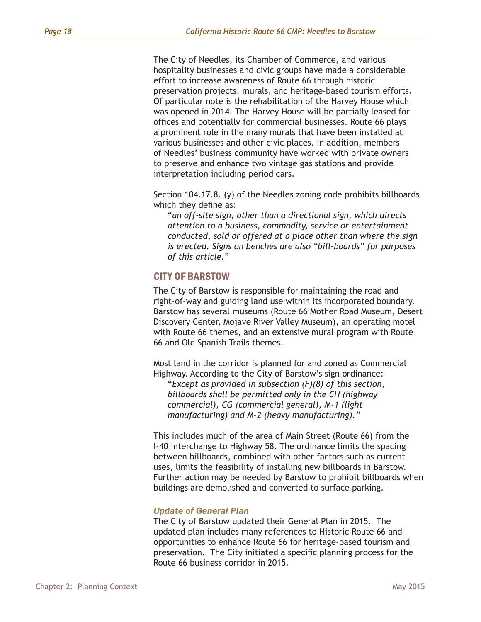The City of Needles, its Chamber of Commerce, and various hospitality businesses and civic groups have made a considerable effort to increase awareness of Route 66 through historic preservation projects, murals, and heritage-based tourism efforts. Of particular note is the rehabilitation of the Harvey House which was opened in 2014. The Harvey House will be partially leased for offices and potentially for commercial businesses. Route 66 plays a prominent role in the many murals that have been installed at various businesses and other civic places. In addition, members of Needles' business community have worked with private owners to preserve and enhance two vintage gas stations and provide interpretation including period cars.

Section 104.17.8. (y) of the Needles zoning code prohibits billboards which they define as:

"*an off-site sign, other than a directional sign, which directs attention to a business, commodity, service or entertainment conducted, sold or offered at a place other than where the sign is erected. Signs on benches are also "bill-boards" for purposes of this article.*"

## CITY OF BARSTOW

The City of Barstow is responsible for maintaining the road and right-of-way and guiding land use within its incorporated boundary. Barstow has several museums (Route 66 Mother Road Museum, Desert Discovery Center, Mojave River Valley Museum), an operating motel with Route 66 themes, and an extensive mural program with Route 66 and Old Spanish Trails themes.

Most land in the corridor is planned for and zoned as Commercial Highway. According to the City of Barstow's sign ordinance:

"*Except as provided in subsection (F)(8) of this section, billboards shall be permitted only in the CH (highway commercial), CG (commercial general), M-1 (light manufacturing) and M-2 (heavy manufacturing)."*

This includes much of the area of Main Street (Route 66) from the I-40 interchange to Highway 58. The ordinance limits the spacing between billboards, combined with other factors such as current uses, limits the feasibility of installing new billboards in Barstow. Further action may be needed by Barstow to prohibit billboards when buildings are demolished and converted to surface parking.

#### *Update of General Plan*

The City of Barstow updated their General Plan in 2015. The updated plan includes many references to Historic Route 66 and opportunities to enhance Route 66 for heritage-based tourism and preservation. The City initiated a specific planning process for the Route 66 business corridor in 2015.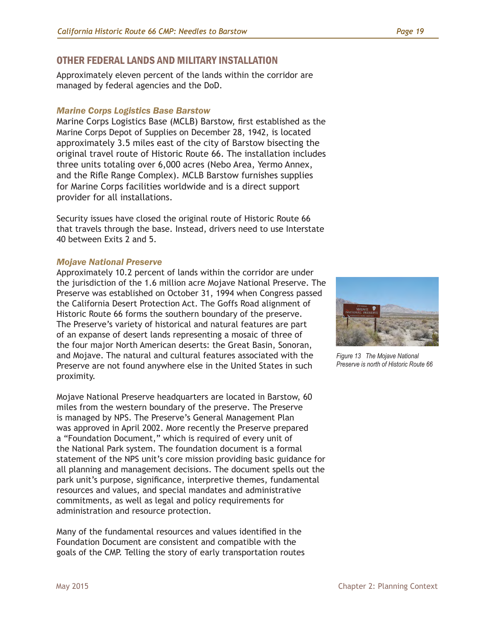# OTHER FEDERAL LANDS AND MILITARY INSTALLATION

Approximately eleven percent of the lands within the corridor are managed by federal agencies and the DoD.

#### *Marine Corps Logistics Base Barstow*

Marine Corps Logistics Base (MCLB) Barstow, first established as the Marine Corps Depot of Supplies on December 28, 1942, is located approximately 3.5 miles east of the city of Barstow bisecting the original travel route of Historic Route 66. The installation includes three units totaling over 6,000 acres (Nebo Area, Yermo Annex, and the Rifle Range Complex). MCLB Barstow furnishes supplies for Marine Corps facilities worldwide and is a direct support provider for all installations.

Security issues have closed the original route of Historic Route 66 that travels through the base. Instead, drivers need to use Interstate 40 between Exits 2 and 5.

#### *Mojave National Preserve*

Approximately 10.2 percent of lands within the corridor are under the jurisdiction of the 1.6 million acre Mojave National Preserve. The Preserve was established on October 31, 1994 when Congress passed the California Desert Protection Act. The Goffs Road alignment of Historic Route 66 forms the southern boundary of the preserve. The Preserve's variety of historical and natural features are part of an expanse of desert lands representing a mosaic of three of the four major North American deserts: the Great Basin, Sonoran, and Mojave. The natural and cultural features associated with the Preserve are not found anywhere else in the United States in such proximity.

Mojave National Preserve headquarters are located in Barstow, 60 miles from the western boundary of the preserve. The Preserve is managed by NPS. The Preserve's General Management Plan was approved in April 2002. More recently the Preserve prepared a "Foundation Document," which is required of every unit of the National Park system. The foundation document is a formal statement of the NPS unit's core mission providing basic guidance for all planning and management decisions. The document spells out the park unit's purpose, significance, interpretive themes, fundamental resources and values, and special mandates and administrative commitments, as well as legal and policy requirements for administration and resource protection.

Many of the fundamental resources and values identified in the Foundation Document are consistent and compatible with the goals of the CMP. Telling the story of early transportation routes



*Figure 13 The Mojave National Preserve is north of Historic Route 66*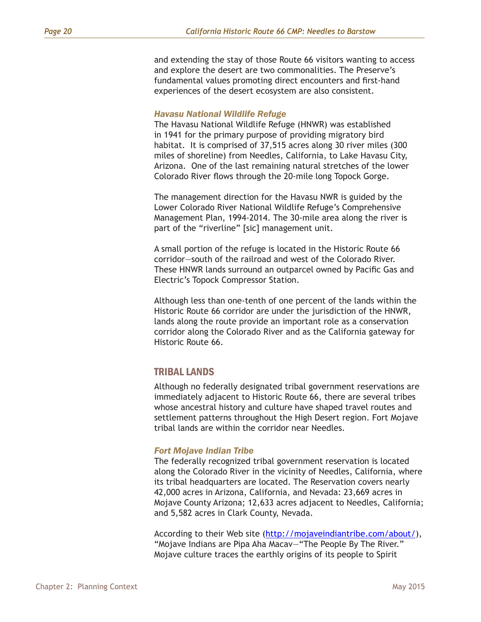and extending the stay of those Route 66 visitors wanting to access and explore the desert are two commonalities. The Preserve's fundamental values promoting direct encounters and first-hand experiences of the desert ecosystem are also consistent.

#### *Havasu National Wildlife Refuge*

The Havasu National Wildlife Refuge (HNWR) was established in 1941 for the primary purpose of providing migratory bird habitat. It is comprised of 37,515 acres along 30 river miles (300 miles of shoreline) from Needles, California, to Lake Havasu City, Arizona. One of the last remaining natural stretches of the lower Colorado River flows through the 20-mile long Topock Gorge.

The management direction for the Havasu NWR is guided by the Lower Colorado River National Wildlife Refuge's Comprehensive Management Plan, 1994-2014. The 30-mile area along the river is part of the "riverline" [sic] management unit.

A small portion of the refuge is located in the Historic Route 66 corridor—south of the railroad and west of the Colorado River. These HNWR lands surround an outparcel owned by Pacific Gas and Electric's Topock Compressor Station.

Although less than one-tenth of one percent of the lands within the Historic Route 66 corridor are under the jurisdiction of the HNWR, lands along the route provide an important role as a conservation corridor along the Colorado River and as the California gateway for Historic Route 66.

# TRIBAL LANDS

Although no federally designated tribal government reservations are immediately adjacent to Historic Route 66, there are several tribes whose ancestral history and culture have shaped travel routes and settlement patterns throughout the High Desert region. Fort Mojave tribal lands are within the corridor near Needles.

#### *Fort Mojave Indian Tribe*

The federally recognized tribal government reservation is located along the Colorado River in the vicinity of Needles, California, where its tribal headquarters are located. The Reservation covers nearly 42,000 acres in Arizona, California, and Nevada: 23,669 acres in Mojave County Arizona; 12,633 acres adjacent to Needles, California; and 5,582 acres in Clark County, Nevada.

According to their Web site [\(http://mojaveindiantribe.com/about/](http://mojaveindiantribe.com/about/)), "Mojave Indians are Pipa Aha Macav—"The People By The River." Mojave culture traces the earthly origins of its people to Spirit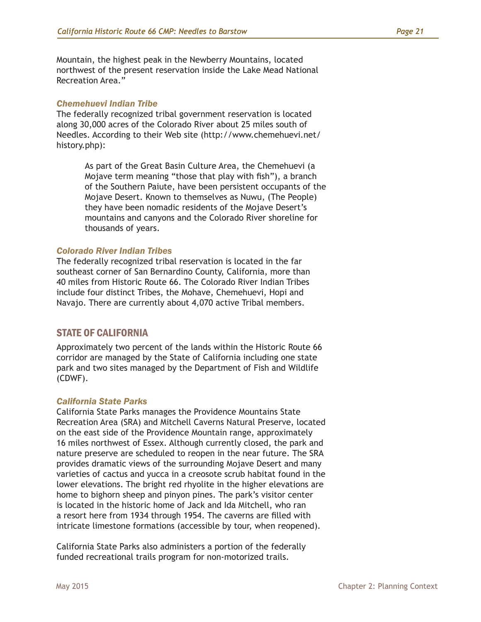Mountain, the highest peak in the Newberry Mountains, located northwest of the present reservation inside the Lake Mead National Recreation Area."

#### *Chemehuevi Indian Tribe*

The federally recognized tribal government reservation is located along 30,000 acres of the Colorado River about 25 miles south of Needles. According to their Web site (http://www.chemehuevi.net/ history.php):

> As part of the Great Basin Culture Area, the Chemehuevi (a Mojave term meaning "those that play with fish"), a branch of the Southern Paiute, have been persistent occupants of the Mojave Desert. Known to themselves as Nuwu, (The People) they have been nomadic residents of the Mojave Desert's mountains and canyons and the Colorado River shoreline for thousands of years.

#### *Colorado River Indian Tribes*

The federally recognized tribal reservation is located in the far southeast corner of San Bernardino County, California, more than 40 miles from Historic Route 66. The Colorado River Indian Tribes include four distinct Tribes, the Mohave, Chemehuevi, Hopi and Navajo. There are currently about 4,070 active Tribal members.

# STATE OF CALIFORNIA

Approximately two percent of the lands within the Historic Route 66 corridor are managed by the State of California including one state park and two sites managed by the Department of Fish and Wildlife (CDWF).

## *California State Parks*

California State Parks manages the Providence Mountains State Recreation Area (SRA) and Mitchell Caverns Natural Preserve, located on the east side of the Providence Mountain range, approximately 16 miles northwest of Essex. Although currently closed, the park and nature preserve are scheduled to reopen in the near future. The SRA provides dramatic views of the surrounding Mojave Desert and many varieties of cactus and yucca in a creosote scrub habitat found in the lower elevations. The bright red rhyolite in the higher elevations are home to bighorn sheep and pinyon pines. The park's visitor center is located in the historic home of Jack and Ida Mitchell, who ran a resort here from 1934 through 1954. The caverns are filled with intricate limestone formations (accessible by tour, when reopened).

California State Parks also administers a portion of the federally funded recreational trails program for non-motorized trails.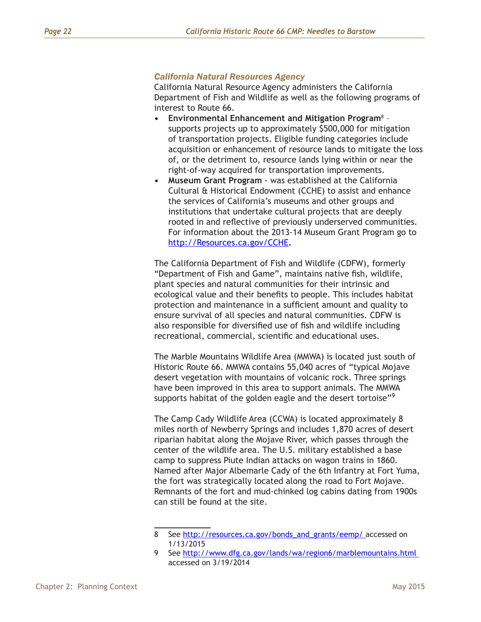#### *California Natural Resources Agency*

California Natural Resource Agency administers the California Department of Fish and Wildlife as well as the following programs of interest to Route 66.

- **• Environmental Enhancement and Mitigation Program**<sup>8</sup> – supports projects up to approximately \$500,000 for mitigation of transportation projects. Eligible funding categories include acquisition or enhancement of resource lands to mitigate the loss of, or the detriment to, resource lands lying within or near the right-of-way acquired for transportation improvements.
- **• Museum Grant Program** was established at the California Cultural & Historical Endowment (CCHE) to assist and enhance the services of California's museums and other groups and institutions that undertake cultural projects that are deeply rooted in and reflective of previously underserved communities. For information about the 2013-14 Museum Grant Program go to <http://Resources.ca.gov/CCHE>**.**

The California Department of Fish and Wildlife (CDFW), formerly "Department of Fish and Game", maintains native fish, wildlife, plant species and natural communities for their intrinsic and ecological value and their benefits to people. This includes habitat protection and maintenance in a sufficient amount and quality to ensure survival of all species and natural communities. CDFW is also responsible for diversified use of fish and wildlife including recreational, commercial, scientific and educational uses.

The Marble Mountains Wildlife Area (MMWA) is located just south of Historic Route 66. MMWA contains 55,040 acres of "typical Mojave desert vegetation with mountains of volcanic rock. Three springs have been improved in this area to support animals. The MMWA supports habitat of the golden eagle and the desert tortoise"<sup>9</sup>

The Camp Cady Wildlife Area (CCWA) is located approximately 8 miles north of Newberry Springs and includes 1,870 acres of desert riparian habitat along the Mojave River, which passes through the center of the wildlife area. The U.S. military established a base camp to suppress Piute Indian attacks on wagon trains in 1860. Named after Major Albemarle Cady of the 6th Infantry at Fort Yuma, the fort was strategically located along the road to Fort Mojave. Remnants of the fort and mud-chinked log cabins dating from 1900s can still be found at the site.

<sup>8</sup> See [http://resources.ca.gov/bonds\\_and\\_grants/eemp/](http://resources.ca.gov/bonds_and_grants/eemp/) accessed on 1/13/2015

<sup>9</sup> See<http://www.dfg.ca.gov/lands/wa/region6/marblemountains.html> accessed on 3/19/2014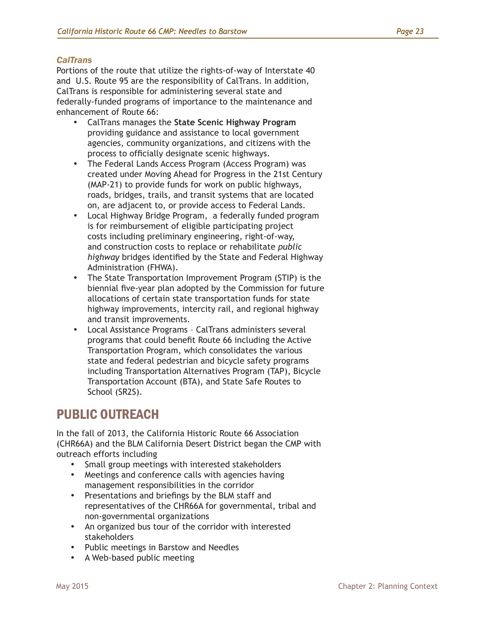## *CalTrans*

Portions of the route that utilize the rights-of-way of Interstate 40 and U.S. Route 95 are the responsibility of CalTrans. In addition, CalTrans is responsible for administering several state and federally-funded programs of importance to the maintenance and enhancement of Route 66:

- • CalTrans manages the **State Scenic Highway Program**  providing guidance and assistance to local government agencies, community organizations, and citizens with the process to officially designate scenic highways.
- The Federal Lands Access Program (Access Program) was created under Moving Ahead for Progress in the 21st Century (MAP-21) to provide funds for work on public highways, roads, bridges, trails, and transit systems that are located on, are adjacent to, or provide access to Federal Lands.
- • Local Highway Bridge Program, a federally funded program is for reimbursement of eligible participating project costs including preliminary engineering, right-of-way, and construction costs to replace or rehabilitate *public highway* bridges identified by the State and Federal Highway Administration (FHWA).
- The State Transportation Improvement Program (STIP) is the biennial five-year plan adopted by the Commission for future allocations of certain state transportation funds for state highway improvements, intercity rail, and regional highway and transit improvements.
- Local Assistance Programs CalTrans administers several programs that could benefit Route 66 including the Active Transportation Program, which consolidates the various state and federal pedestrian and bicycle safety programs including Transportation Alternatives Program (TAP), Bicycle Transportation Account (BTA), and State Safe Routes to School (SR2S).

# PUBLIC OUTREACH

In the fall of 2013, the California Historic Route 66 Association (CHR66A) and the BLM California Desert District began the CMP with outreach efforts including

- • Small group meetings with interested stakeholders
- • Meetings and conference calls with agencies having management responsibilities in the corridor
- • Presentations and briefings by the BLM staff and representatives of the CHR66A for governmental, tribal and non-governmental organizations
- • An organized bus tour of the corridor with interested stakeholders
- • Public meetings in Barstow and Needles
- • A Web-based public meeting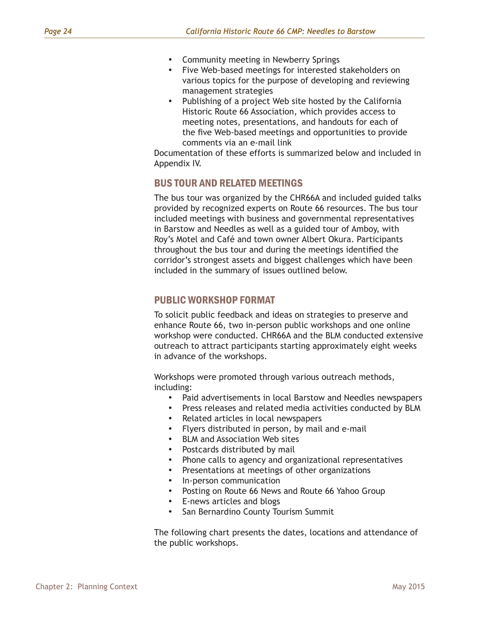- • Community meeting in Newberry Springs
- • Five Web-based meetings for interested stakeholders on various topics for the purpose of developing and reviewing management strategies
- Publishing of a project Web site hosted by the California Historic Route 66 Association, which provides access to meeting notes, presentations, and handouts for each of the five Web-based meetings and opportunities to provide comments via an e-mail link

Documentation of these efforts is summarized below and included in Appendix IV.

# BUS TOUR AND RELATED MEETINGS

The bus tour was organized by the CHR66A and included guided talks provided by recognized experts on Route 66 resources. The bus tour included meetings with business and governmental representatives in Barstow and Needles as well as a guided tour of Amboy, with Roy's Motel and Café and town owner Albert Okura. Participants throughout the bus tour and during the meetings identified the corridor's strongest assets and biggest challenges which have been included in the summary of issues outlined below.

# PUBLIC WORKSHOP FORMAT

To solicit public feedback and ideas on strategies to preserve and enhance Route 66, two in-person public workshops and one online workshop were conducted. CHR66A and the BLM conducted extensive outreach to attract participants starting approximately eight weeks in advance of the workshops.

Workshops were promoted through various outreach methods, including:

- Paid advertisements in local Barstow and Needles newspapers
- • Press releases and related media activities conducted by BLM
- • Related articles in local newspapers
- Flyers distributed in person, by mail and e-mail
- **BLM and Association Web sites**
- Postcards distributed by mail
- Phone calls to agency and organizational representatives
- Presentations at meetings of other organizations
- In-person communication
- Posting on Route 66 News and Route 66 Yahoo Group
- E-news articles and blogs
- San Bernardino County Tourism Summit

The following chart presents the dates, locations and attendance of the public workshops.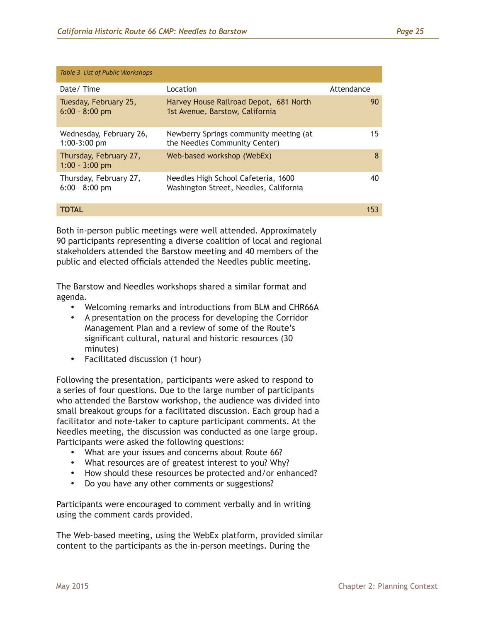| <b>Table 3 List of Public Workshops</b>    |                                                                               |            |
|--------------------------------------------|-------------------------------------------------------------------------------|------------|
| Date/Time                                  | Location                                                                      | Attendance |
| Tuesday, February 25,<br>$6:00 - 8:00$ pm  | Harvey House Railroad Depot, 681 North<br>1st Avenue, Barstow, California     | 90         |
| Wednesday, February 26,<br>$1:00-3:00$ pm  | Newberry Springs community meeting (at<br>the Needles Community Center)       | 15         |
| Thursday, February 27,<br>$1:00 - 3:00$ pm | Web-based workshop (WebEx)                                                    | 8          |
| Thursday, February 27,<br>$6:00 - 8:00$ pm | Needles High School Cafeteria, 1600<br>Washington Street, Needles, California | 40         |

#### **TOTAL** 153

Both in-person public meetings were well attended. Approximately 90 participants representing a diverse coalition of local and regional stakeholders attended the Barstow meeting and 40 members of the public and elected officials attended the Needles public meeting.

The Barstow and Needles workshops shared a similar format and agenda.

- • Welcoming remarks and introductions from BLM and CHR66A
- • A presentation on the process for developing the Corridor Management Plan and a review of some of the Route's significant cultural, natural and historic resources (30 minutes)
- Facilitated discussion (1 hour)

Following the presentation, participants were asked to respond to a series of four questions. Due to the large number of participants who attended the Barstow workshop, the audience was divided into small breakout groups for a facilitated discussion. Each group had a facilitator and note-taker to capture participant comments. At the Needles meeting, the discussion was conducted as one large group. Participants were asked the following questions:

- What are your issues and concerns about Route 66?
- What resources are of greatest interest to you? Why?
- How should these resources be protected and/or enhanced?
- Do you have any other comments or suggestions?

Participants were encouraged to comment verbally and in writing using the comment cards provided.

The Web-based meeting, using the WebEx platform, provided similar content to the participants as the in-person meetings. During the